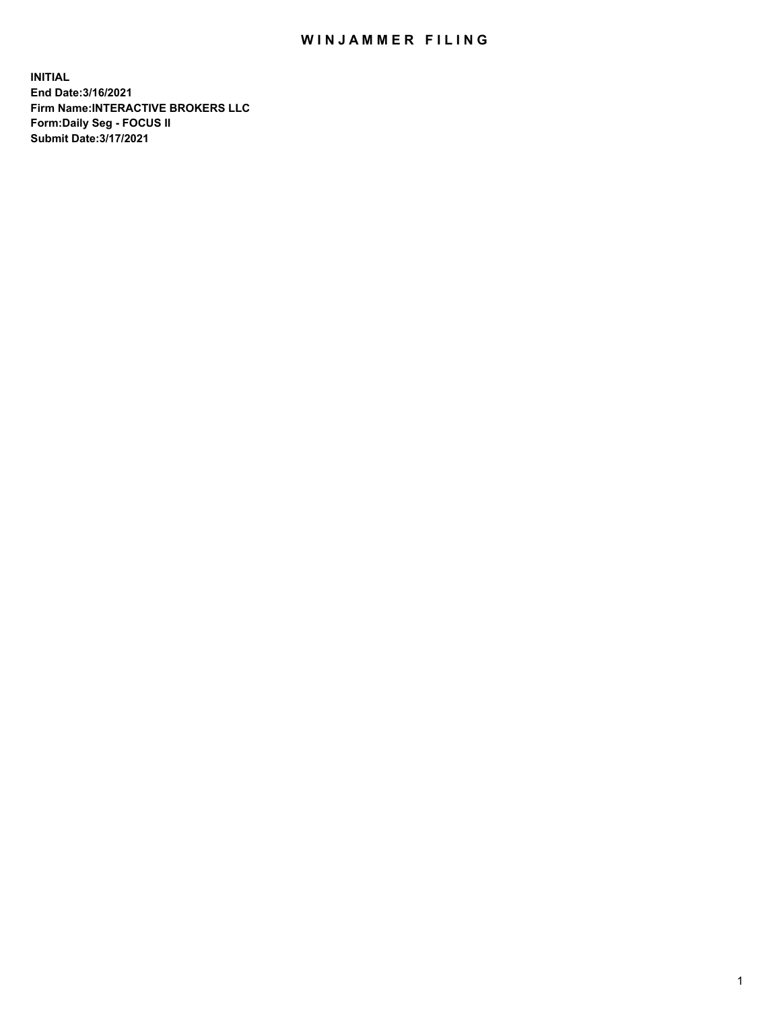## WIN JAMMER FILING

**INITIAL End Date:3/16/2021 Firm Name:INTERACTIVE BROKERS LLC Form:Daily Seg - FOCUS II Submit Date:3/17/2021**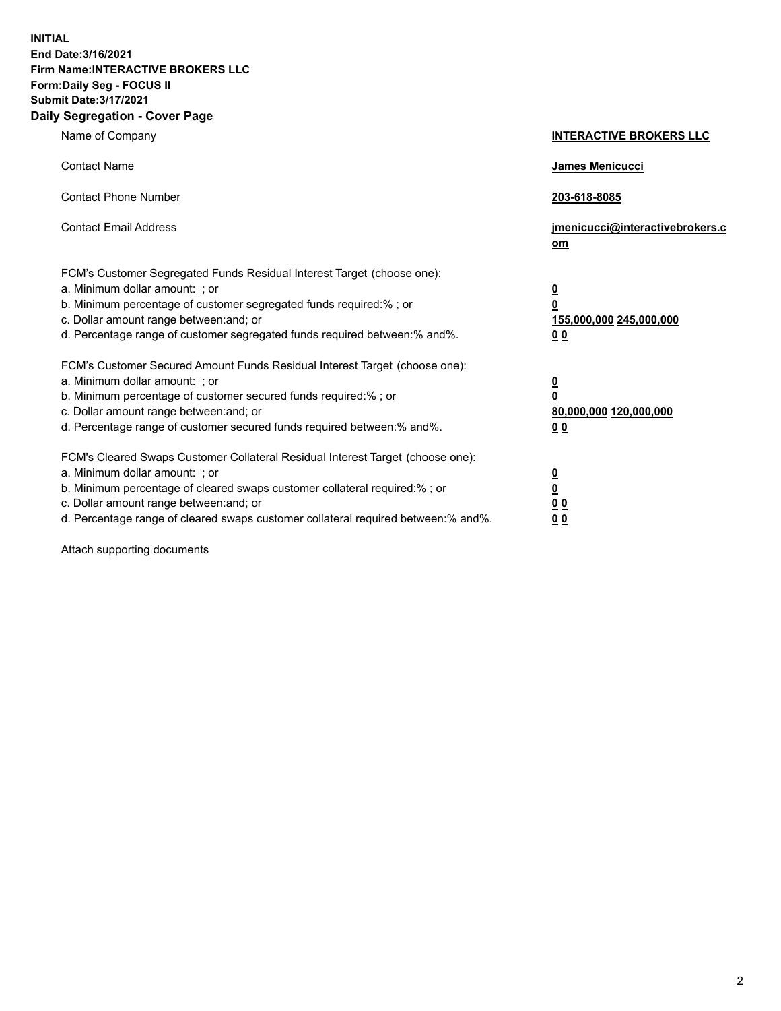**INITIAL End Date:3/16/2021 Firm Name:INTERACTIVE BROKERS LLC Form:Daily Seg - FOCUS II Submit Date:3/17/2021 Daily Segregation - Cover Page**

| Name of Company                                                                                                                                                                                                                                                                                                                | <b>INTERACTIVE BROKERS LLC</b>                                                                  |
|--------------------------------------------------------------------------------------------------------------------------------------------------------------------------------------------------------------------------------------------------------------------------------------------------------------------------------|-------------------------------------------------------------------------------------------------|
| <b>Contact Name</b>                                                                                                                                                                                                                                                                                                            | James Menicucci                                                                                 |
| <b>Contact Phone Number</b>                                                                                                                                                                                                                                                                                                    | 203-618-8085                                                                                    |
| <b>Contact Email Address</b>                                                                                                                                                                                                                                                                                                   | jmenicucci@interactivebrokers.c<br>om                                                           |
| FCM's Customer Segregated Funds Residual Interest Target (choose one):<br>a. Minimum dollar amount: ; or<br>b. Minimum percentage of customer segregated funds required:% ; or<br>c. Dollar amount range between: and; or<br>d. Percentage range of customer segregated funds required between:% and%.                         | $\overline{\mathbf{0}}$<br>$\overline{\mathbf{0}}$<br>155,000,000 245,000,000<br>0 <sub>0</sub> |
| FCM's Customer Secured Amount Funds Residual Interest Target (choose one):<br>a. Minimum dollar amount: ; or<br>b. Minimum percentage of customer secured funds required:% ; or<br>c. Dollar amount range between: and; or<br>d. Percentage range of customer secured funds required between:% and%.                           | $\overline{\mathbf{0}}$<br>0<br>80,000,000 120,000,000<br>0 <sub>0</sub>                        |
| FCM's Cleared Swaps Customer Collateral Residual Interest Target (choose one):<br>a. Minimum dollar amount: ; or<br>b. Minimum percentage of cleared swaps customer collateral required:% ; or<br>c. Dollar amount range between: and; or<br>d. Percentage range of cleared swaps customer collateral required between:% and%. | $\overline{\mathbf{0}}$<br><u>0</u><br>$\underline{0}$ $\underline{0}$<br>00                    |

Attach supporting documents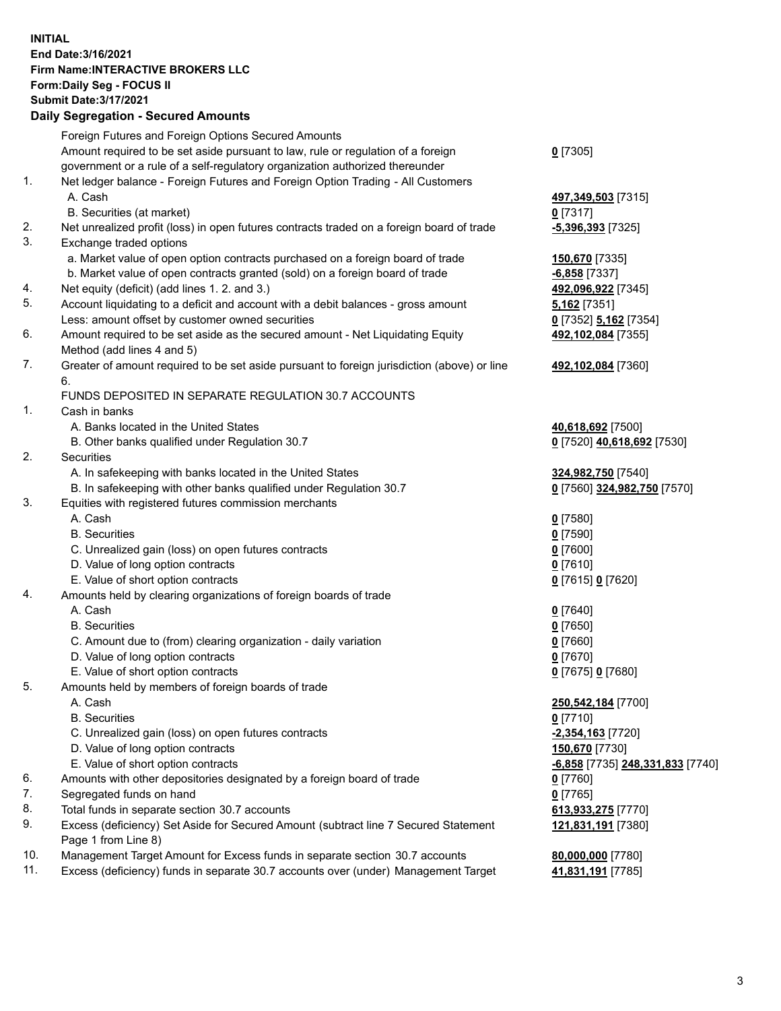**INITIAL End Date:3/16/2021 Firm Name:INTERACTIVE BROKERS LLC Form:Daily Seg - FOCUS II Submit Date:3/17/2021 Daily Segregation - Secured Amounts**

|     | Foreign Futures and Foreign Options Secured Amounts                                         |                                         |
|-----|---------------------------------------------------------------------------------------------|-----------------------------------------|
|     | Amount required to be set aside pursuant to law, rule or regulation of a foreign            | $0$ [7305]                              |
|     | government or a rule of a self-regulatory organization authorized thereunder                |                                         |
| 1.  | Net ledger balance - Foreign Futures and Foreign Option Trading - All Customers             |                                         |
|     | A. Cash                                                                                     | 497,349,503 [7315]                      |
|     | B. Securities (at market)                                                                   | $0$ [7317]                              |
| 2.  | Net unrealized profit (loss) in open futures contracts traded on a foreign board of trade   | -5,396,393 [7325]                       |
| 3.  | Exchange traded options                                                                     |                                         |
|     | a. Market value of open option contracts purchased on a foreign board of trade              | 150,670 [7335]                          |
|     | b. Market value of open contracts granted (sold) on a foreign board of trade                | <b>6,858</b> [7337]                     |
| 4.  | Net equity (deficit) (add lines 1. 2. and 3.)                                               | 492,096,922 [7345]                      |
| 5.  | Account liquidating to a deficit and account with a debit balances - gross amount           | 5,162 [7351]                            |
|     | Less: amount offset by customer owned securities                                            | 0 [7352] 5,162 [7354]                   |
| 6.  | Amount required to be set aside as the secured amount - Net Liquidating Equity              | 492,102,084 [7355]                      |
|     | Method (add lines 4 and 5)                                                                  |                                         |
| 7.  | Greater of amount required to be set aside pursuant to foreign jurisdiction (above) or line | 492,102,084 [7360]                      |
|     | 6.                                                                                          |                                         |
|     | FUNDS DEPOSITED IN SEPARATE REGULATION 30.7 ACCOUNTS                                        |                                         |
| 1.  | Cash in banks                                                                               |                                         |
|     | A. Banks located in the United States                                                       | 40,618,692 [7500]                       |
|     | B. Other banks qualified under Regulation 30.7                                              | 0 [7520] 40,618,692 [7530]              |
| 2.  | Securities                                                                                  |                                         |
|     | A. In safekeeping with banks located in the United States                                   | 324,982,750 [7540]                      |
|     | B. In safekeeping with other banks qualified under Regulation 30.7                          | 0 [7560] 324,982,750 [7570]             |
| 3.  | Equities with registered futures commission merchants                                       |                                         |
|     | A. Cash                                                                                     | $0$ [7580]                              |
|     | <b>B.</b> Securities                                                                        | $0$ [7590]                              |
|     | C. Unrealized gain (loss) on open futures contracts                                         | $0$ [7600]                              |
|     | D. Value of long option contracts                                                           | $0$ [7610]                              |
|     | E. Value of short option contracts                                                          | 0 [7615] 0 [7620]                       |
| 4.  | Amounts held by clearing organizations of foreign boards of trade                           |                                         |
|     | A. Cash                                                                                     | $0$ [7640]                              |
|     | <b>B.</b> Securities                                                                        | $0$ [7650]                              |
|     | C. Amount due to (from) clearing organization - daily variation                             | $0$ [7660]                              |
|     | D. Value of long option contracts                                                           | $0$ [7670]                              |
|     | E. Value of short option contracts                                                          | 0 [7675] 0 [7680]                       |
| 5.  | Amounts held by members of foreign boards of trade                                          |                                         |
|     | A. Cash                                                                                     | 250,542,184 [7700]                      |
|     | <b>B.</b> Securities                                                                        | $0$ [7710]                              |
|     | C. Unrealized gain (loss) on open futures contracts                                         | -2,354,163 <sup>[7720]</sup>            |
|     | D. Value of long option contracts                                                           | 150,670 [7730]                          |
|     | E. Value of short option contracts                                                          | <u>-6,858</u> [7735] 248,331,833 [7740] |
| 6.  | Amounts with other depositories designated by a foreign board of trade                      | $0$ [7760]                              |
| 7.  | Segregated funds on hand                                                                    | $0$ [7765]                              |
| 8.  | Total funds in separate section 30.7 accounts                                               | 613,933,275 [7770]                      |
| 9.  | Excess (deficiency) Set Aside for Secured Amount (subtract line 7 Secured Statement         | 121,831,191 [7380]                      |
|     | Page 1 from Line 8)                                                                         |                                         |
| 10. | Management Target Amount for Excess funds in separate section 30.7 accounts                 | 80,000,000 [7780]                       |
| 11. | Excess (deficiency) funds in separate 30.7 accounts over (under) Management Target          | 41,831,191 [7785]                       |
|     |                                                                                             |                                         |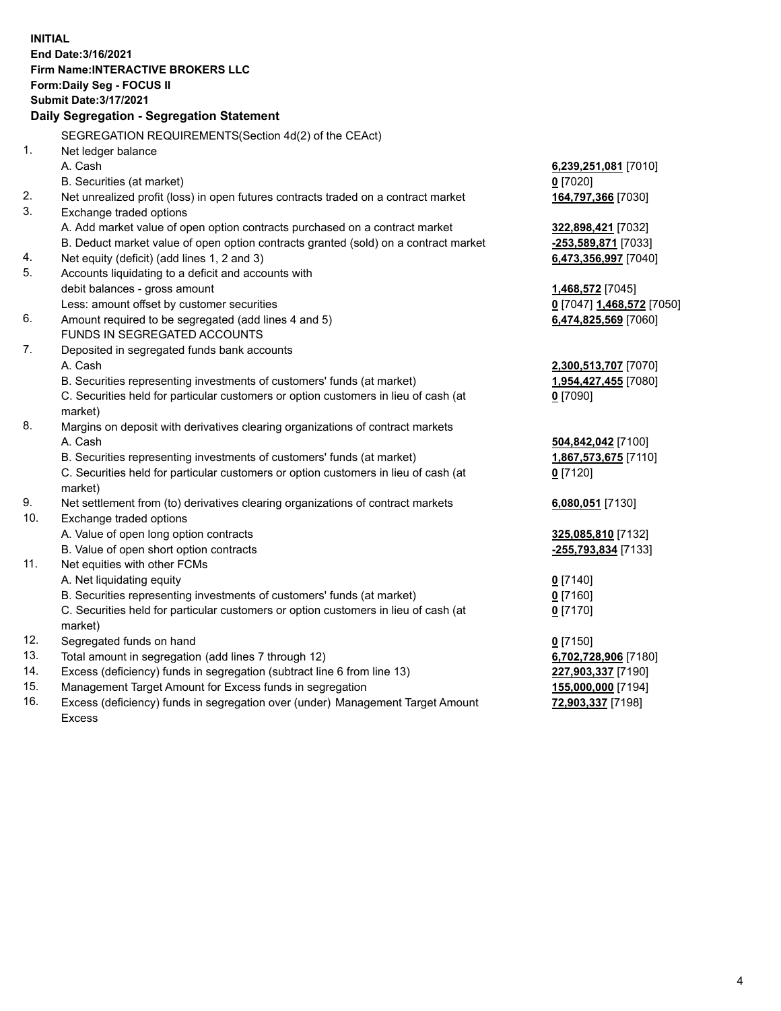**INITIAL End Date:3/16/2021 Firm Name:INTERACTIVE BROKERS LLC Form:Daily Seg - FOCUS II Submit Date:3/17/2021 Daily Segregation - Segregation Statement** SEGREGATION REQUIREMENTS(Section 4d(2) of the CEAct) 1. Net ledger balance A. Cash **6,239,251,081** [7010] B. Securities (at market) **0** [7020] 2. Net unrealized profit (loss) in open futures contracts traded on a contract market **164,797,366** [7030] 3. Exchange traded options A. Add market value of open option contracts purchased on a contract market **322,898,421** [7032] B. Deduct market value of open option contracts granted (sold) on a contract market **-253,589,871** [7033] 4. Net equity (deficit) (add lines 1, 2 and 3) **6,473,356,997** [7040] 5. Accounts liquidating to a deficit and accounts with debit balances - gross amount **1,468,572** [7045] Less: amount offset by customer securities **0** [7047] **1,468,572** [7050] 6. Amount required to be segregated (add lines 4 and 5) **6,474,825,569** [7060] FUNDS IN SEGREGATED ACCOUNTS 7. Deposited in segregated funds bank accounts A. Cash **2,300,513,707** [7070] B. Securities representing investments of customers' funds (at market) **1,954,427,455** [7080] C. Securities held for particular customers or option customers in lieu of cash (at market) **0** [7090] 8. Margins on deposit with derivatives clearing organizations of contract markets A. Cash **504,842,042** [7100] B. Securities representing investments of customers' funds (at market) **1,867,573,675** [7110] C. Securities held for particular customers or option customers in lieu of cash (at market) **0** [7120] 9. Net settlement from (to) derivatives clearing organizations of contract markets **6,080,051** [7130] 10. Exchange traded options A. Value of open long option contracts **325,085,810** [7132] B. Value of open short option contracts **-255,793,834** [7133] 11. Net equities with other FCMs A. Net liquidating equity **0** [7140] B. Securities representing investments of customers' funds (at market) **0** [7160] C. Securities held for particular customers or option customers in lieu of cash (at market) **0** [7170] 12. Segregated funds on hand **0** [7150] 13. Total amount in segregation (add lines 7 through 12) **6,702,728,906** [7180] 14. Excess (deficiency) funds in segregation (subtract line 6 from line 13) **227,903,337** [7190] 15. Management Target Amount for Excess funds in segregation **155,000,000** [7194]

16. Excess (deficiency) funds in segregation over (under) Management Target Amount Excess

**72,903,337** [7198]